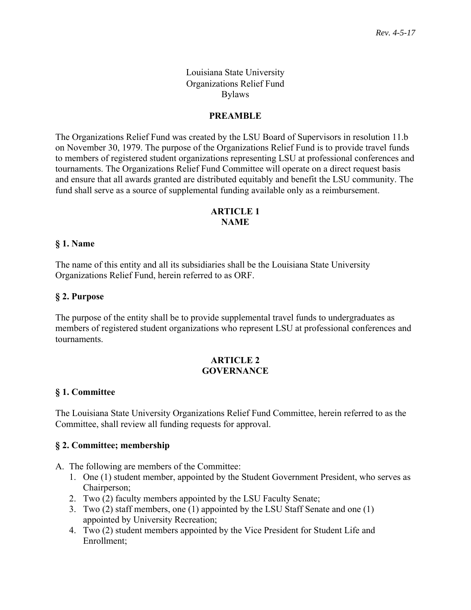### Louisiana State University Organizations Relief Fund Bylaws

### **PREAMBLE**

The Organizations Relief Fund was created by the LSU Board of Supervisors in resolution 11.b on November 30, 1979. The purpose of the Organizations Relief Fund is to provide travel funds to members of registered student organizations representing LSU at professional conferences and tournaments. The Organizations Relief Fund Committee will operate on a direct request basis and ensure that all awards granted are distributed equitably and benefit the LSU community. The fund shall serve as a source of supplemental funding available only as a reimbursement.

### **ARTICLE 1 NAME**

#### **§ 1. Name**

The name of this entity and all its subsidiaries shall be the Louisiana State University Organizations Relief Fund, herein referred to as ORF.

#### **§ 2. Purpose**

The purpose of the entity shall be to provide supplemental travel funds to undergraduates as members of registered student organizations who represent LSU at professional conferences and tournaments.

#### **ARTICLE 2 GOVERNANCE**

### **§ 1. Committee**

The Louisiana State University Organizations Relief Fund Committee, herein referred to as the Committee, shall review all funding requests for approval.

### **§ 2. Committee; membership**

- A. The following are members of the Committee:
	- 1. One (1) student member, appointed by the Student Government President, who serves as Chairperson;
	- 2. Two (2) faculty members appointed by the LSU Faculty Senate;
	- 3. Two (2) staff members, one (1) appointed by the LSU Staff Senate and one (1) appointed by University Recreation;
	- 4. Two (2) student members appointed by the Vice President for Student Life and Enrollment;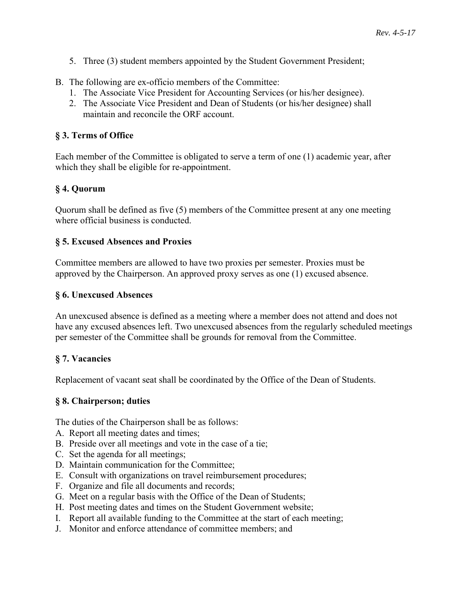- 5. Three (3) student members appointed by the Student Government President;
- B. The following are ex-officio members of the Committee:
	- 1. The Associate Vice President for Accounting Services (or his/her designee).
	- 2. The Associate Vice President and Dean of Students (or his/her designee) shall maintain and reconcile the ORF account.

### **§ 3. Terms of Office**

Each member of the Committee is obligated to serve a term of one (1) academic year, after which they shall be eligible for re-appointment.

# **§ 4. Quorum**

Quorum shall be defined as five (5) members of the Committee present at any one meeting where official business is conducted.

### **§ 5. Excused Absences and Proxies**

Committee members are allowed to have two proxies per semester. Proxies must be approved by the Chairperson. An approved proxy serves as one (1) excused absence.

### **§ 6. Unexcused Absences**

An unexcused absence is defined as a meeting where a member does not attend and does not have any excused absences left. Two unexcused absences from the regularly scheduled meetings per semester of the Committee shall be grounds for removal from the Committee.

# **§ 7. Vacancies**

Replacement of vacant seat shall be coordinated by the Office of the Dean of Students.

### **§ 8. Chairperson; duties**

The duties of the Chairperson shall be as follows:

- A. Report all meeting dates and times;
- B. Preside over all meetings and vote in the case of a tie;
- C. Set the agenda for all meetings;
- D. Maintain communication for the Committee;
- E. Consult with organizations on travel reimbursement procedures;
- F. Organize and file all documents and records;
- G. Meet on a regular basis with the Office of the Dean of Students;
- H. Post meeting dates and times on the Student Government website;
- I. Report all available funding to the Committee at the start of each meeting;
- J. Monitor and enforce attendance of committee members; and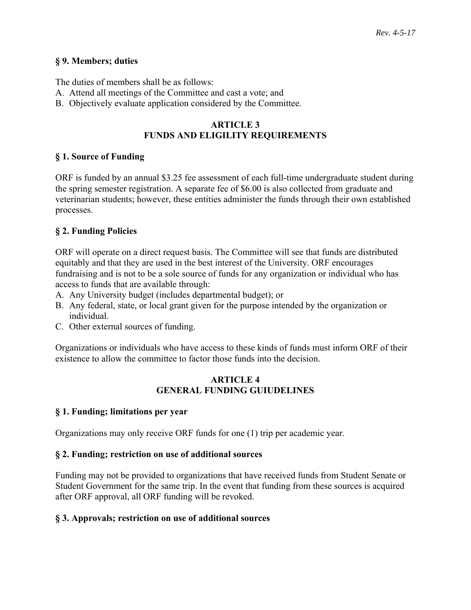#### **§ 9. Members; duties**

The duties of members shall be as follows:

- A. Attend all meetings of the Committee and cast a vote; and
- B. Objectively evaluate application considered by the Committee.

### **ARTICLE 3 FUNDS AND ELIGILITY REQUIREMENTS**

### **§ 1. Source of Funding**

ORF is funded by an annual \$3.25 fee assessment of each full-time undergraduate student during the spring semester registration. A separate fee of \$6.00 is also collected from graduate and veterinarian students; however, these entities administer the funds through their own established processes.

### **§ 2. Funding Policies**

ORF will operate on a direct request basis. The Committee will see that funds are distributed equitably and that they are used in the best interest of the University. ORF encourages fundraising and is not to be a sole source of funds for any organization or individual who has access to funds that are available through:

- A. Any University budget (includes departmental budget); or
- B. Any federal, state, or local grant given for the purpose intended by the organization or individual.
- C. Other external sources of funding.

Organizations or individuals who have access to these kinds of funds must inform ORF of their existence to allow the committee to factor those funds into the decision.

### **ARTICLE 4 GENERAL FUNDING GUIUDELINES**

### **§ 1. Funding; limitations per year**

Organizations may only receive ORF funds for one (1) trip per academic year.

### **§ 2. Funding; restriction on use of additional sources**

Funding may not be provided to organizations that have received funds from Student Senate or Student Government for the same trip. In the event that funding from these sources is acquired after ORF approval, all ORF funding will be revoked.

### **§ 3. Approvals; restriction on use of additional sources**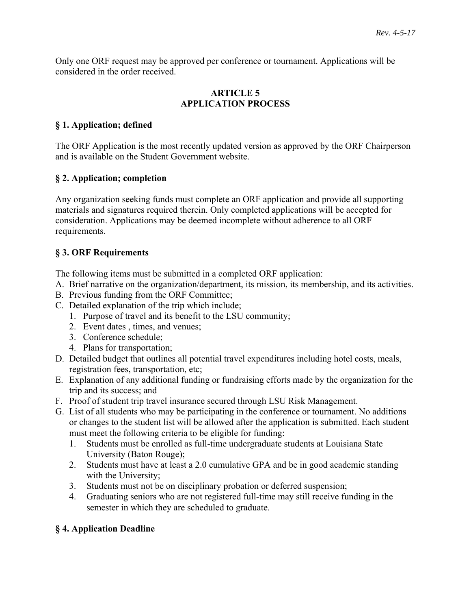Only one ORF request may be approved per conference or tournament. Applications will be considered in the order received.

### **ARTICLE 5 APPLICATION PROCESS**

# **§ 1. Application; defined**

The ORF Application is the most recently updated version as approved by the ORF Chairperson and is available on the Student Government website.

# **§ 2. Application; completion**

Any organization seeking funds must complete an ORF application and provide all supporting materials and signatures required therein. Only completed applications will be accepted for consideration. Applications may be deemed incomplete without adherence to all ORF requirements.

# **§ 3. ORF Requirements**

The following items must be submitted in a completed ORF application:

- A. Brief narrative on the organization/department, its mission, its membership, and its activities.
- B. Previous funding from the ORF Committee;
- C. Detailed explanation of the trip which include;
	- 1. Purpose of travel and its benefit to the LSU community;
	- 2. Event dates , times, and venues;
	- 3. Conference schedule;
	- 4. Plans for transportation;
- D. Detailed budget that outlines all potential travel expenditures including hotel costs, meals, registration fees, transportation, etc;
- E. Explanation of any additional funding or fundraising efforts made by the organization for the trip and its success; and
- F. Proof of student trip travel insurance secured through LSU Risk Management.
- G. List of all students who may be participating in the conference or tournament. No additions or changes to the student list will be allowed after the application is submitted. Each student must meet the following criteria to be eligible for funding:
	- 1. Students must be enrolled as full-time undergraduate students at Louisiana State University (Baton Rouge);
	- 2. Students must have at least a 2.0 cumulative GPA and be in good academic standing with the University;
	- 3. Students must not be on disciplinary probation or deferred suspension;
	- 4. Graduating seniors who are not registered full-time may still receive funding in the semester in which they are scheduled to graduate.

# **§ 4. Application Deadline**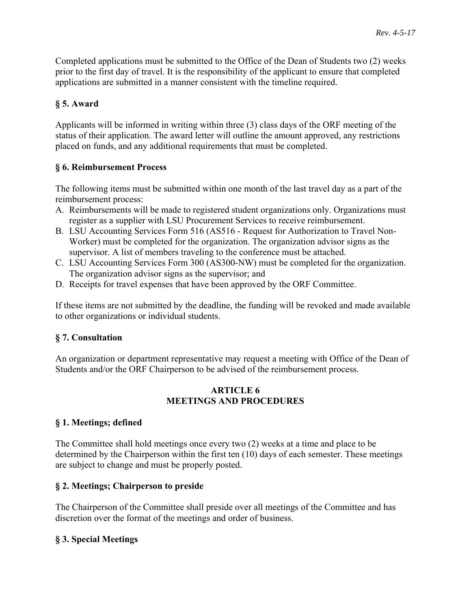Completed applications must be submitted to the Office of the Dean of Students two (2) weeks prior to the first day of travel. It is the responsibility of the applicant to ensure that completed applications are submitted in a manner consistent with the timeline required.

# **§ 5. Award**

Applicants will be informed in writing within three (3) class days of the ORF meeting of the status of their application. The award letter will outline the amount approved, any restrictions placed on funds, and any additional requirements that must be completed.

# **§ 6. Reimbursement Process**

The following items must be submitted within one month of the last travel day as a part of the reimbursement process:

- A. Reimbursements will be made to registered student organizations only. Organizations must register as a supplier with LSU Procurement Services to receive reimbursement.
- B. LSU Accounting Services Form 516 (AS516 Request for Authorization to Travel Non-Worker) must be completed for the organization. The organization advisor signs as the supervisor. A list of members traveling to the conference must be attached.
- C. LSU Accounting Services Form 300 (AS300-NW) must be completed for the organization. The organization advisor signs as the supervisor; and
- D. Receipts for travel expenses that have been approved by the ORF Committee.

If these items are not submitted by the deadline, the funding will be revoked and made available to other organizations or individual students.

### **§ 7. Consultation**

An organization or department representative may request a meeting with Office of the Dean of Students and/or the ORF Chairperson to be advised of the reimbursement process.

### **ARTICLE 6 MEETINGS AND PROCEDURES**

# **§ 1. Meetings; defined**

The Committee shall hold meetings once every two (2) weeks at a time and place to be determined by the Chairperson within the first ten (10) days of each semester. These meetings are subject to change and must be properly posted.

### **§ 2. Meetings; Chairperson to preside**

The Chairperson of the Committee shall preside over all meetings of the Committee and has discretion over the format of the meetings and order of business.

# **§ 3. Special Meetings**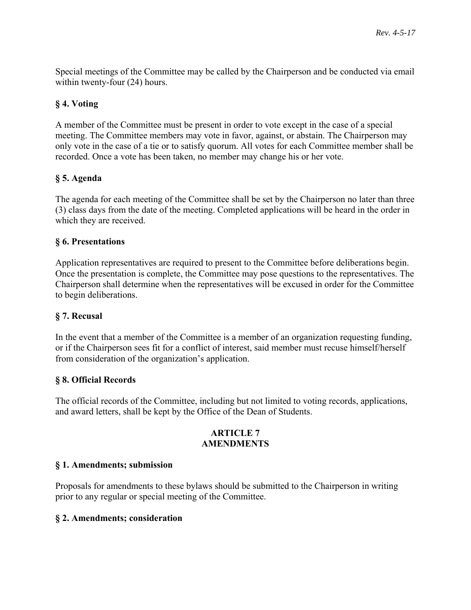Special meetings of the Committee may be called by the Chairperson and be conducted via email within twenty-four (24) hours.

# **§ 4. Voting**

A member of the Committee must be present in order to vote except in the case of a special meeting. The Committee members may vote in favor, against, or abstain. The Chairperson may only vote in the case of a tie or to satisfy quorum. All votes for each Committee member shall be recorded. Once a vote has been taken, no member may change his or her vote.

### **§ 5. Agenda**

The agenda for each meeting of the Committee shall be set by the Chairperson no later than three (3) class days from the date of the meeting. Completed applications will be heard in the order in which they are received.

### **§ 6. Presentations**

Application representatives are required to present to the Committee before deliberations begin. Once the presentation is complete, the Committee may pose questions to the representatives. The Chairperson shall determine when the representatives will be excused in order for the Committee to begin deliberations.

### **§ 7. Recusal**

In the event that a member of the Committee is a member of an organization requesting funding, or if the Chairperson sees fit for a conflict of interest, said member must recuse himself/herself from consideration of the organization's application.

### **§ 8. Official Records**

The official records of the Committee, including but not limited to voting records, applications, and award letters, shall be kept by the Office of the Dean of Students.

#### **ARTICLE 7 AMENDMENTS**

### **§ 1. Amendments; submission**

Proposals for amendments to these bylaws should be submitted to the Chairperson in writing prior to any regular or special meeting of the Committee.

### **§ 2. Amendments; consideration**